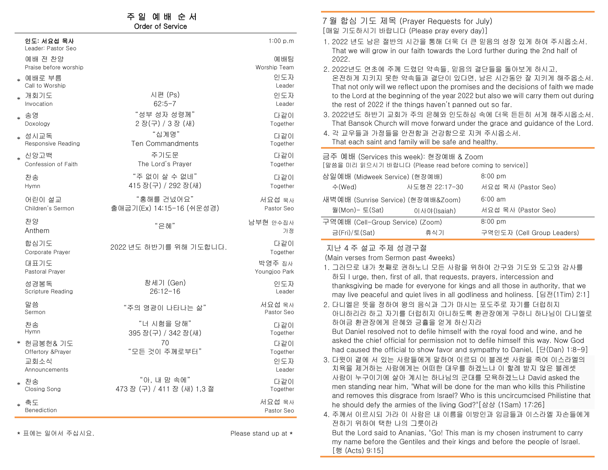# 주 일 예 배 순 서

#### Order of Service

|        | 인도: 서요섭 목사<br>Leader: Pastor Seo                         |                                            | 1:00 p.m                         |
|--------|----------------------------------------------------------|--------------------------------------------|----------------------------------|
|        | 예배 전 찬양<br>Praise before worship                         |                                            | 예배팀<br>Worship Team              |
|        | * 예배로 부름<br>Call to Worship                              |                                            | 인도자<br>Leader                    |
| $\ast$ | 개회기도<br>Invocation                                       | 시편 (Ps)<br>$62:5-7$                        | 인도자<br>Leader                    |
| $\ast$ | 송영<br>Doxology                                           | "성부 성자 성령께"<br>2장(구) / 3장 (새)              | 다같이<br>Together                  |
| $\ast$ | 성시교독<br>Responsive Reading                               | "십계명"<br><b>Ten Commandments</b>           | 다같이<br>Together                  |
| $\ast$ | 신앙고백<br>Confession of Faith                              | 주기도문<br>The Lord's Prayer                  | 다같이<br>Together                  |
|        | 찬송<br>Hymn                                               | "주 없이 살 수 없네"<br>415 장(구) / 292 장(새)       | 다같이<br>Together                  |
|        | 어린이 설교<br>Children's Sermon                              | "홍해를 건넜어요"<br>출애굽기(Ex) 14:15-16 (쉬운성경)     | 서요섭 목사<br>Pastor Seo             |
|        | 찬양<br>Anthem                                             | "은혜"                                       | 남부현 안수집사<br>가정                   |
|        | 합심기도<br>Corporate Prayer                                 | 2022 년도 하반기를 위해 기도합니다.                     | 다같이<br>Together                  |
|        | 대표기도<br>Pastoral Prayer                                  |                                            | 박영주 집사<br>Youngjoo Park          |
|        | 성경봉독<br><b>Scripture Reading</b>                         | 창세기 (Gen)<br>$26:12 - 16$                  | 인도자<br>Leader                    |
|        | 말씀<br>Sermon                                             | "주의 영광이 나타나는 삶"                            | 서요섭 목사<br>Pastor Seo             |
|        | 찬송<br>Hymn                                               | "너 시험을 당해"<br>395 장(구) / 342 장(새)          | 다같이<br>Together                  |
|        | * 헌금봉헌& 기도<br>Offertory &Prayer<br>교회소식<br>Announcements | 70<br>"모든 것이 주께로부터"                        | 다같이<br>Together<br>인도자<br>Leader |
| $\ast$ | 찬송<br>Closing Song                                       | "아, 내 맘 속에"<br>473 장 (구) / 411 장 (새) 1,3 절 | 다같이<br>Together                  |
| $\ast$ | 축도<br>Benediction                                        |                                            | 서요섭 목사<br>Pastor Seo             |

\* 표에는 일어서 주십시요. Please stand up at \*

7 월 합심 기도 제목 (Prayer Requests for July) [매일 기도하시기 바랍니다 (Please pray every day)] 1. 2022 년도 남은 절반의 시간을 통해 더욱 더 큰 믿음의 성장 있게 하여 주시옵소서. That we will grow in our faith towards the Lord further during the 2nd half of 2022. 2. 2022년도 연초에 주께 드렸던 약속들, 믿음의 결단들을 돌아보게 하시고, 온전하게 지키지 못한 약속들과 결단이 있다면, 남은 시간동안 잘 지키게 해주옵소서. That not only will we reflect upon the promises and the decisions of faith we made to the Lord at the beginning of the year 2022 but also we will carry them out during the rest of 2022 if the things haven't panned out so far. 3. 2022년도 하반기 교회가 주의 은혜와 인도하심 속에 더욱 든든히 서게 해주시옵소서. That Bansok Church will move forward under the grace and guidance of the Lord. 4. 각 교우들과 가정들을 안전함과 건강함으로 지켜 주시옵소서. That each saint and family will be safe and healthy. 금주 예배 (Services this week): 현장예배 & Zoom [말씀을 미리 읽으시기 바랍니다 (Please read before coming to service)] 삼일예배 (Midweek Service) (현장예배) 8:00 pm 수(Wed) 사도행전 22:17-30 서요섭 목사 (Pastor Seo) 새벽예배 (Sunrise Service) (현장예배&Zoom) 6:00 am 월(Mon)- 토(Sat) 이사야(Isaiah) 서요섭 목사 (Pastor Seo) 구역예배 (Cell-Group Service) (Zoom) 8:00 pm 금(Fri)/토(Sat) 휴식기 구역인도자 (Cell Group Leaders)

### 지난 4 주 설교 주제 성경구절

(Main verses from Sermon past 4weeks)

- 1. 그러므로 내가 첫째로 권하노니 모든 사람을 위하여 간구와 기도와 도고와 감사를 하되 I urge, then, first of all, that requests, prayers, intercession and thanksgiving be made for everyone for kings and all those in authority, that we may live peaceful and quiet lives in all godliness and holiness. [딤전(1Tim) 2:1]
- 2. 다니엘은 뜻을 정하여 왕의 음식과 그가 마시는 포도주로 자기를 더럽히지 아니하리라 하고 자기를 더럽히지 아니하도록 환관장에게 구하니 하나님이 다니엘로 하여금 환관장에게 은혜와 긍휼을 얻게 하신지라

But Daniel resolved not to defile himself with the royal food and wine, and he asked the chief official for permission not to defile himself this way. Now God had caused the official to show favor and sympathy to Daniel, [단(Dan) 1:8-9]

- 3. 다윗이 곁에 서 있는 사람들에게 말하여 이르되 이 블레셋 사람을 죽여 이스라엘의 치욕을 제거하는 사람에게는 어떠한 대우를 하겠느냐 이 할례 받지 않은 블레셋 사람이 누구이기에 살아 계시는 하나님의 군대를 모욕하겠느냐 David asked the men standing near him, "What will be done for the man who kills this Philistine and removes this disgrace from Israel? Who is this uncircumcised Philistine that he should defy the armies of the living God?"[삼상 (1Sam) 17:26]
- 4. 주께서 이르시되 가라 이 사람은 내 이름을 이방인과 임금들과 이스라엘 자손들에게 전하기 위하여 택한 나의 그릇이라

But the Lord said to Ananias, "Go! This man is my chosen instrument to carry my name before the Gentiles and their kings and before the people of Israel. [행 (Acts) 9:15]